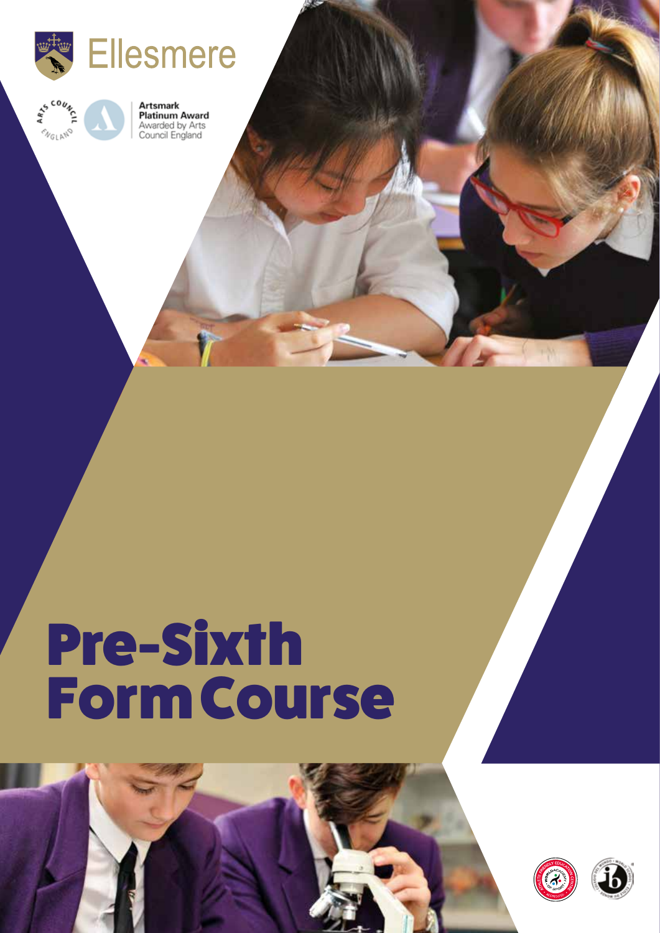



**Artsmark Platinum Award** Awarded by Arts<br>Council England

# Pre-Sixth Form Course



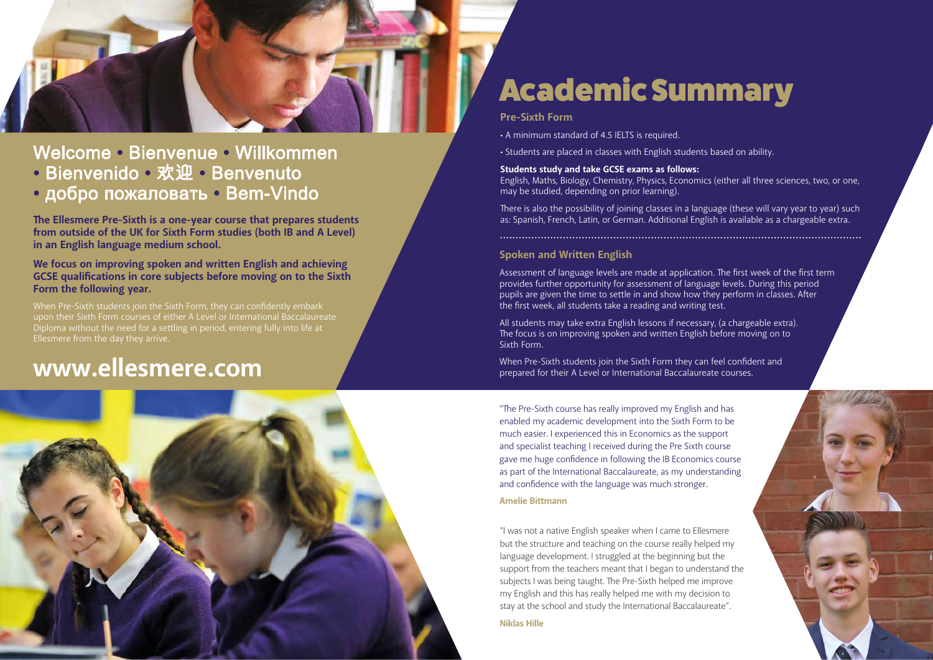

Welcome • Bienvenue • Willkommen • Bienvenido • 欢迎 • Benvenuto • добро пожаловать • Bem-Vindo

When Pre-Sixth students join the Sixth Form, they can confidently embark upon their Sixth Form courses of either A Level or International Baccalaureate Diploma without the need for a settling in period, entering fully into life at Ellesmere from the day they arrive.

## **www.ellesmere.com**



"The Pre-Sixth course has really improved my English and has enabled my academic development into the Sixth Form to be much easier. I experienced this in Economics as the support and specialist teaching I received during the Pre Sixth course gave me huge confidence in following the IB Economics course as part of the International Baccalaureate, as my understanding and confidence with the language was much stronger.

#### **Amelie Bittmann**

- A minimum standard of 4.5 IELTS is required.
- Students are placed in classes with English students based on ability.

"I was not a native English speaker when I came to Ellesmere but the structure and teaching on the course really helped my language development. I struggled at the beginning but the support from the teachers meant that I began to understand the subjects I was being taught. The Pre-Sixth helped me improve my English and this has really helped me with my decision to stay at the school and study the International Baccalaureate".

**Niklas Hille**



## Academic Summary

### **Spoken and Written English**

The Ellesmere Pre-Sixth is a one-year course that prepares students **from outside of the UK for Sixth Form studies (both IB and A Level) in an English language medium school.**

> Assessment of language levels are made at application. The first week of the first term provides further opportunity for assessment of language levels. During this period pupils are given the time to settle in and show how they perform in classes. After the first week, all students take a reading and writing test.

All students may take extra English lessons if necessary, (a chargeable extra). The focus is on improving spoken and written English before moving on to Sixth Form.

When Pre-Sixth students join the Sixth Form they can feel confident and prepared for their A Level or International Baccalaureate courses.

### **Pre-Sixth Form**

**Students study and take GCSE exams as follows:** English, Maths, Biology, Chemistry, Physics, Economics (either all three sciences, two, or one, may be studied, depending on prior learning).

There is also the possibility of joining classes in a language (these will vary year to year) such<br>as: Spanish, French, Latin, or German. Additional English is available as a chargeable extra.

**We focus on improving spoken and written English and achieving GCSE qualifications in core subjects before moving on to the Sixth Form the following year.**